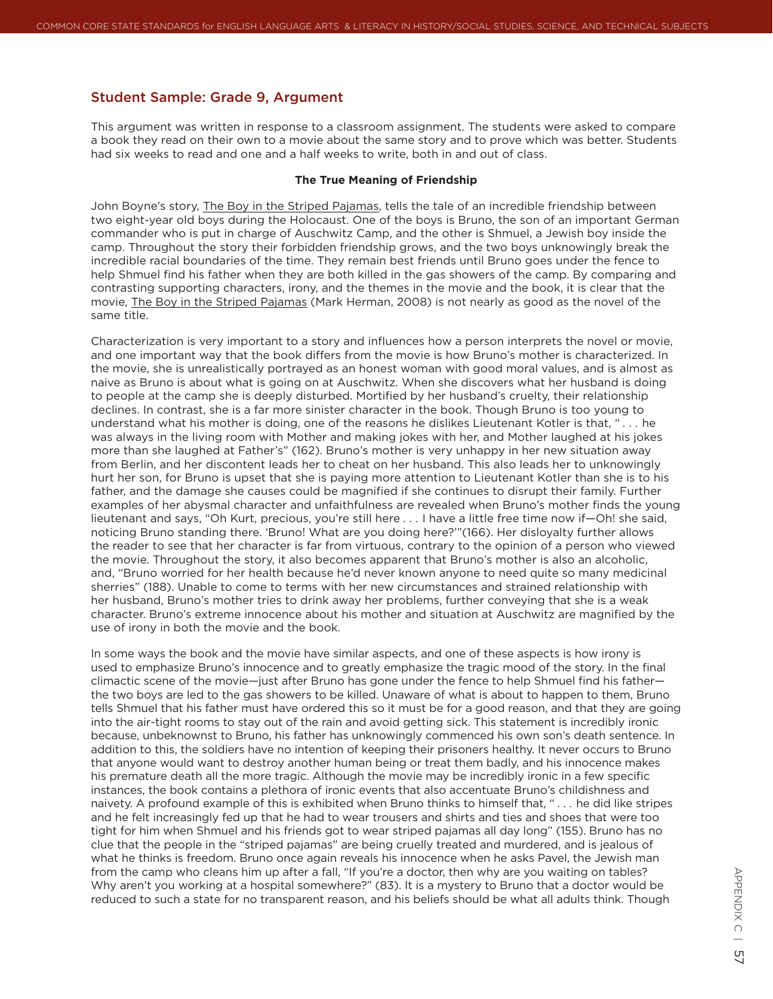## Student Sample: Grade 9, Argument

This argument was written in response to a classroom assignment. The students were asked to compare a book they read on their own to a movie about the same story and to prove which was better. Students had six weeks to read and one and a half weeks to write, both in and out of class.

## **The True Meaning of Friendship**

John Boyne's story, The Boy in the Striped Pajamas, tells the tale of an incredible friendship between two eight-year old boys during the Holocaust. One of the boys is Bruno, the son of an important German commander who is put in charge of Auschwitz Camp, and the other is Shmuel, a Jewish boy inside the camp. Throughout the story their forbidden friendship grows, and the two boys unknowingly break the incredible racial boundaries of the time. They remain best friends until Bruno goes under the fence to help Shmuel find his father when they are both killed in the gas showers of the camp. By comparing and contrasting supporting characters, irony, and the themes in the movie and the book, it is clear that the movie, The Boy in the Striped Pajamas (Mark Herman, 2008) is not nearly as good as the novel of the same title.

Characterization is very important to a story and influences how a person interprets the novel or movie, and one important way that the book differs from the movie is how Bruno's mother is characterized. In the movie, she is unrealistically portrayed as an honest woman with good moral values, and is almost as naive as Bruno is about what is going on at Auschwitz. When she discovers what her husband is doing to people at the camp she is deeply disturbed. Mortified by her husband's cruelty, their relationship declines. In contrast, she is a far more sinister character in the book. Though Bruno is too young to understand what his mother is doing, one of the reasons he dislikes Lieutenant Kotler is that, " *. . .* he was always in the living room with Mother and making jokes with her, and Mother laughed at his jokes more than she laughed at Father's" (162). Bruno's mother is very unhappy in her new situation away from Berlin, and her discontent leads her to cheat on her husband. This also leads her to unknowingly hurt her son, for Bruno is upset that she is paying more attention to Lieutenant Kotler than she is to his father, and the damage she causes could be magnified if she continues to disrupt their family. Further examples of her abysmal character and unfaithfulness are revealed when Bruno's mother finds the young lieutenant and says, "Oh Kurt, precious, you're still here . . . I have a little free time now if—Oh! she said, noticing Bruno standing there. 'Bruno! What are you doing here?'"(166). Her disloyalty further allows the reader to see that her character is far from virtuous, contrary to the opinion of a person who viewed the movie. Throughout the story, it also becomes apparent that Bruno's mother is also an alcoholic, and, "Bruno worried for her health because he'd never known anyone to need quite so many medicinal sherries" (188). Unable to come to terms with her new circumstances and strained relationship with her husband, Bruno's mother tries to drink away her problems, further conveying that she is a weak character. Bruno's extreme innocence about his mother and situation at Auschwitz are magnified by the use of irony in both the movie and the book.

In some ways the book and the movie have similar aspects, and one of these aspects is how irony is used to emphasize Bruno's innocence and to greatly emphasize the tragic mood of the story. In the final climactic scene of the movie—just after Bruno has gone under the fence to help Shmuel find his father the two boys are led to the gas showers to be killed. Unaware of what is about to happen to them, Bruno tells Shmuel that his father must have ordered this so it must be for a good reason, and that they are going into the air-tight rooms to stay out of the rain and avoid getting sick. This statement is incredibly ironic because, unbeknownst to Bruno, his father has unknowingly commenced his own son's death sentence. In addition to this, the soldiers have no intention of keeping their prisoners healthy. It never occurs to Bruno that anyone would want to destroy another human being or treat them badly, and his innocence makes his premature death all the more tragic. Although the movie may be incredibly ironic in a few specific instances, the book contains a plethora of ironic events that also accentuate Bruno's childishness and naivety. A profound example of this is exhibited when Bruno thinks to himself that, " *. . .* he did like stripes and he felt increasingly fed up that he had to wear trousers and shirts and ties and shoes that were too tight for him when Shmuel and his friends got to wear striped pajamas all day long" (155). Bruno has no clue that the people in the "striped pajamas" are being cruelly treated and murdered, and is jealous of what he thinks is freedom. Bruno once again reveals his innocence when he asks Pavel, the Jewish man from the camp who cleans him up after a fall, "If you're a doctor, then why are you waiting on tables? Why aren't you working at a hospital somewhere?" (83). It is a mystery to Bruno that a doctor would be reduced to such a state for no transparent reason, and his beliefs should be what all adults think. Though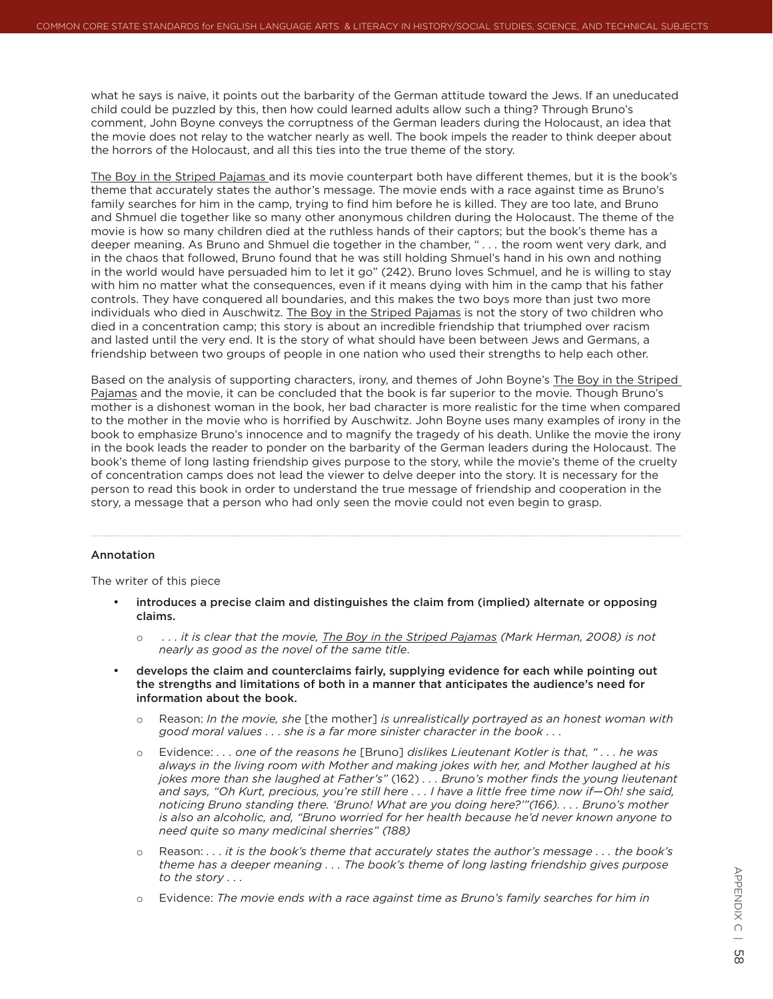what he says is naive, it points out the barbarity of the German attitude toward the Jews. If an uneducated child could be puzzled by this, then how could learned adults allow such a thing? Through Bruno's comment, John Boyne conveys the corruptness of the German leaders during the Holocaust, an idea that the movie does not relay to the watcher nearly as well. The book impels the reader to think deeper about the horrors of the Holocaust, and all this ties into the true theme of the story.

The Boy in the Striped Pajamas and its movie counterpart both have different themes, but it is the book's theme that accurately states the author's message. The movie ends with a race against time as Bruno's family searches for him in the camp, trying to find him before he is killed. They are too late, and Bruno and Shmuel die together like so many other anonymous children during the Holocaust. The theme of the movie is how so many children died at the ruthless hands of their captors; but the book's theme has a deeper meaning. As Bruno and Shmuel die together in the chamber, " *. . .* the room went very dark, and in the chaos that followed, Bruno found that he was still holding Shmuel's hand in his own and nothing in the world would have persuaded him to let it go" (242). Bruno loves Schmuel, and he is willing to stay with him no matter what the consequences, even if it means dying with him in the camp that his father controls. They have conquered all boundaries, and this makes the two boys more than just two more individuals who died in Auschwitz. The Boy in the Striped Pajamas is not the story of two children who died in a concentration camp; this story is about an incredible friendship that triumphed over racism and lasted until the very end. It is the story of what should have been between Jews and Germans, a friendship between two groups of people in one nation who used their strengths to help each other.

Based on the analysis of supporting characters, irony, and themes of John Boyne's The Boy in the Striped Pajamas and the movie, it can be concluded that the book is far superior to the movie. Though Bruno's mother is a dishonest woman in the book, her bad character is more realistic for the time when compared to the mother in the movie who is horrified by Auschwitz. John Boyne uses many examples of irony in the book to emphasize Bruno's innocence and to magnify the tragedy of his death. Unlike the movie the irony in the book leads the reader to ponder on the barbarity of the German leaders during the Holocaust. The book's theme of long lasting friendship gives purpose to the story, while the movie's theme of the cruelty of concentration camps does not lead the viewer to delve deeper into the story. It is necessary for the person to read this book in order to understand the true message of friendship and cooperation in the story, a message that a person who had only seen the movie could not even begin to grasp.

## Annotation

The writer of this piece

- introduces a precise claim and distinguishes the claim from (implied) alternate or opposing claims.
	- o  *. . . it is clear that the movie, The Boy in the Striped Pajamas (Mark Herman, 2008) is not nearly as good as the novel of the same title*.
- develops the claim and counterclaims fairly, supplying evidence for each while pointing out the strengths and limitations of both in a manner that anticipates the audience's need for information about the book.
	- o Reason: *In the movie, she* [the mother] *is unrealistically portrayed as an honest woman with good moral values . . . she is a far more sinister character in the book . . .*
	- o Evidence: *. . . one of the reasons he* [Bruno] *dislikes Lieutenant Kotler is that, " . . . he was always in the living room with Mother and making jokes with her, and Mother laughed at his jokes more than she laughed at Father's"* (162) *. . . Bruno's mother finds the young lieutenant and says, "Oh Kurt, precious, you're still here . . . I have a little free time now if—Oh! she said, noticing Bruno standing there. 'Bruno! What are you doing here?'"(166). . . . Bruno's mother is also an alcoholic, and, "Bruno worried for her health because he'd never known anyone to need quite so many medicinal sherries" (188)*
	- o Reason: *. . . it is the book's theme that accurately states the author's message . . . the book's theme has a deeper meaning . . . The book's theme of long lasting friendship gives purpose to the story . . .*
	- o Evidence: *The movie ends with a race against time as Bruno's family searches for him in*